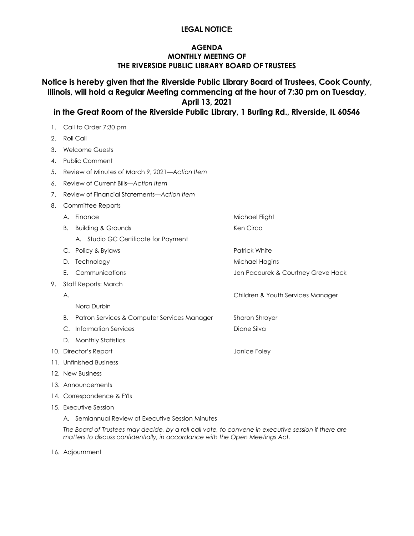### **LEGAL NOTICE:**

### **AGENDA MONTHLY MEETING OF THE RIVERSIDE PUBLIC LIBRARY BOARD OF TRUSTEES**

**Notice is hereby given that the Riverside Public Library Board of Trustees, Cook County, Illinois, will hold a Regular Meeting commencing at the hour of 7:30 pm on Tuesday, April 13, 2021**

**in the Great Room of the Riverside Public Library, 1 Burling Rd., Riverside, IL 60546**

- 1. Call to Order 7:30 pm
- 2. Roll Call
- 3. Welcome Guests
- 4. Public Comment
- 5. Review of Minutes of March 9, 2021*—Action Item*
- 6. Review of Current Bills*—Action Item*
- 7. Review of Financial Statements*—Action Item*
- 8. Committee Reports
- A. Finance Michael Flight B. Building & Grounds **Ken Circo** Ken Circo A. Studio GC Certificate for Payment C. Policy & Bylaws Patrick White D. Technology and the matter of the Michael Hagins E. Communications Jen Pacourek & Courtney Greve Hack 9. Staff Reports: March A. Children & Youth Services Manager Nora Durbin B. Patron Services & Computer Services ManagerSharon Shroyer C. Information Services **Diane Silva** Diane Silva D. Monthly Statistics 10. Director's Report **Containers** and the United States of Lance Foley 11. Unfinished Business 12. New Business 13. Announcements
- 14. Correspondence & FYIs
- 15. Executive Session
	- A. Semiannual Review of Executive Session Minutes

*The Board of Trustees may decide, by a roll call vote, to convene in executive session if there are matters to discuss confidentially, in accordance with the Open Meetings Act.*

16. Adjournment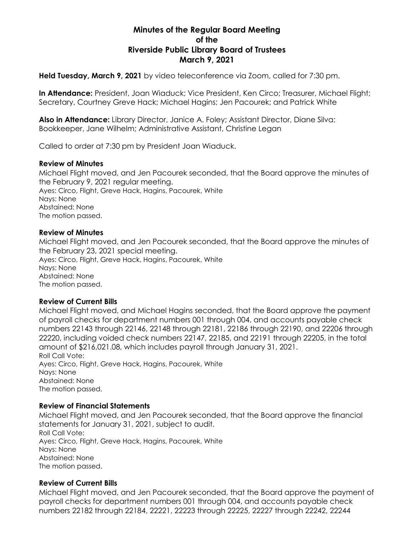# **Minutes of the Regular Board Meeting of the Riverside Public Library Board of Trustees March 9, 2021**

**Held Tuesday, March 9, 2021** by video teleconference via Zoom, called for 7:30 pm.

**In Attendance:** President, Joan Wiaduck; Vice President, Ken Circo; Treasurer, Michael Flight; Secretary, Courtney Greve Hack; Michael Hagins; Jen Pacourek; and Patrick White

**Also in Attendance:** Library Director, Janice A. Foley; Assistant Director, Diane Silva; Bookkeeper, Jane Wilhelm; Administrative Assistant, Christine Legan

Called to order at 7:30 pm by President Joan Wiaduck.

### **Review of Minutes**

Michael Flight moved, and Jen Pacourek seconded, that the Board approve the minutes of the February 9, 2021 regular meeting. Ayes: Circo, Flight, Greve Hack, Hagins, Pacourek, White Nays: None Abstained: None The motion passed.

### **Review of Minutes**

Michael Flight moved, and Jen Pacourek seconded, that the Board approve the minutes of the February 23, 2021 special meeting. Ayes: Circo, Flight, Greve Hack, Hagins, Pacourek, White Nays: None Abstained: None The motion passed.

### **Review of Current Bills**

Michael Flight moved, and Michael Hagins seconded, that the Board approve the payment of payroll checks for department numbers 001 through 004, and accounts payable check numbers 22143 through 22146, 22148 through 22181, 22186 through 22190, and 22206 through 22220, including voided check numbers 22147, 22185, and 22191 through 22205, in the total amount of \$216,021.08, which includes payroll through January 31, 2021. Roll Call Vote: Ayes: Circo, Flight, Greve Hack, Hagins, Pacourek, White Nays: None Abstained: None The motion passed.

### **Review of Financial Statements**

Michael Flight moved, and Jen Pacourek seconded, that the Board approve the financial statements for January 31, 2021, subject to audit. Roll Call Vote: Ayes: Circo, Flight, Greve Hack, Hagins, Pacourek, White Nays: None Abstained: None The motion passed.

### **Review of Current Bills**

Michael Flight moved, and Jen Pacourek seconded, that the Board approve the payment of payroll checks for department numbers 001 through 004, and accounts payable check numbers 22182 through 22184, 22221, 22223 through 22225, 22227 through 22242, 22244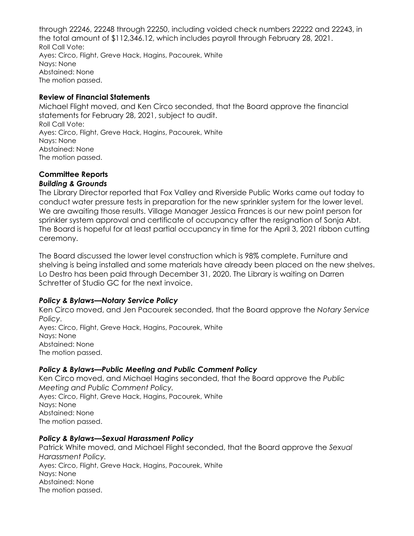through 22246, 22248 through 22250, including voided check numbers 22222 and 22243, in the total amount of \$112,346.12, which includes payroll through February 28, 2021. Roll Call Vote: Ayes: Circo, Flight, Greve Hack, Hagins, Pacourek, White Nays: None Abstained: None The motion passed.

## **Review of Financial Statements**

Michael Flight moved, and Ken Circo seconded, that the Board approve the financial statements for February 28, 2021, subject to audit. Roll Call Vote: Ayes: Circo, Flight, Greve Hack, Hagins, Pacourek, White Nays: None Abstained: None The motion passed.

#### **Committee Reports** *Building & Grounds*

The Library Director reported that Fox Valley and Riverside Public Works came out today to conduct water pressure tests in preparation for the new sprinkler system for the lower level. We are awaiting those results. Village Manager Jessica Frances is our new point person for sprinkler system approval and certificate of occupancy after the resignation of Sonja Abt. The Board is hopeful for at least partial occupancy in time for the April 3, 2021 ribbon cutting ceremony.

The Board discussed the lower level construction which is 98% complete. Furniture and shelving is being installed and some materials have already been placed on the new shelves. Lo Destro has been paid through December 31, 2020. The Library is waiting on Darren Schretter of Studio GC for the next invoice.

# *Policy & Bylaws—Notary Service Policy*

Ken Circo moved, and Jen Pacourek seconded, that the Board approve the *Notary Service Policy*. Ayes: Circo, Flight, Greve Hack, Hagins, Pacourek, White Nays: None Abstained: None The motion passed.

# *Policy & Bylaws—Public Meeting and Public Comment Policy*

Ken Circo moved, and Michael Hagins seconded, that the Board approve the *Public Meeting and Public Comment Policy.* Ayes: Circo, Flight, Greve Hack, Hagins, Pacourek, White Nays: None Abstained: None The motion passed.

## *Policy & Bylaws—Sexual Harassment Policy*

Patrick White moved, and Michael Flight seconded, that the Board approve the *Sexual Harassment Policy.* Ayes: Circo, Flight, Greve Hack, Hagins, Pacourek, White Nays: None Abstained: None The motion passed.